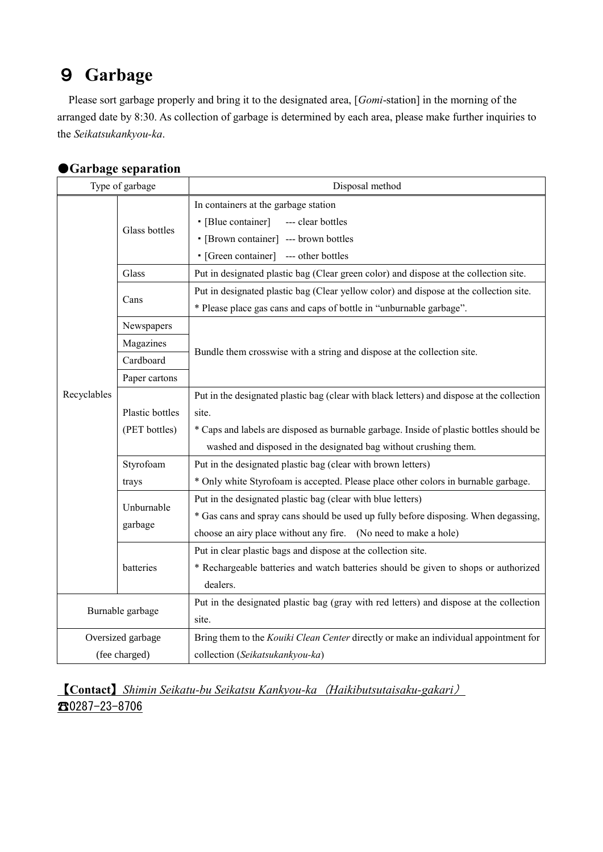## 9 **Garbage**

Please sort garbage properly and bring it to the designated area, [*Gomi*-station] in the morning of the arranged date by 8:30. As collection of garbage is determined by each area, please make further inquiries to the *Seikatsukankyou-ka*.

| Type of garbage   |                       | Disposal method                                                                            |
|-------------------|-----------------------|--------------------------------------------------------------------------------------------|
| Recyclables       | Glass bottles         | In containers at the garbage station                                                       |
|                   |                       | • [Blue container]<br>--- clear bottles                                                    |
|                   |                       | • [Brown container] --- brown bottles                                                      |
|                   |                       | • [Green container] --- other bottles                                                      |
|                   | Glass                 | Put in designated plastic bag (Clear green color) and dispose at the collection site.      |
|                   | Cans                  | Put in designated plastic bag (Clear yellow color) and dispose at the collection site.     |
|                   |                       | * Please place gas cans and caps of bottle in "unburnable garbage".                        |
|                   | Newspapers            | Bundle them crosswise with a string and dispose at the collection site.                    |
|                   | Magazines             |                                                                                            |
|                   | Cardboard             |                                                                                            |
|                   | Paper cartons         |                                                                                            |
|                   |                       | Put in the designated plastic bag (clear with black letters) and dispose at the collection |
|                   | Plastic bottles       | site.                                                                                      |
|                   | (PET bottles)         | * Caps and labels are disposed as burnable garbage. Inside of plastic bottles should be    |
|                   |                       | washed and disposed in the designated bag without crushing them.                           |
|                   | Styrofoam             | Put in the designated plastic bag (clear with brown letters)                               |
|                   | trays                 | * Only white Styrofoam is accepted. Please place other colors in burnable garbage.         |
|                   | Unburnable<br>garbage | Put in the designated plastic bag (clear with blue letters)                                |
|                   |                       | * Gas cans and spray cans should be used up fully before disposing. When degassing,        |
|                   |                       | choose an airy place without any fire. (No need to make a hole)                            |
|                   | batteries             | Put in clear plastic bags and dispose at the collection site.                              |
|                   |                       | * Rechargeable batteries and watch batteries should be given to shops or authorized        |
|                   |                       | dealers.                                                                                   |
| Burnable garbage  |                       | Put in the designated plastic bag (gray with red letters) and dispose at the collection    |
|                   |                       | site.                                                                                      |
| Oversized garbage |                       | Bring them to the Kouiki Clean Center directly or make an individual appointment for       |
| (fee charged)     |                       | collection (Seikatsukankyou-ka)                                                            |

## ●**Garbage separation**

【**Contact**】*Shimin Seikatu-bu Seikatsu Kankyou-ka*(*Haikibutsutaisaku-gakari*) ☎0287-23-8706